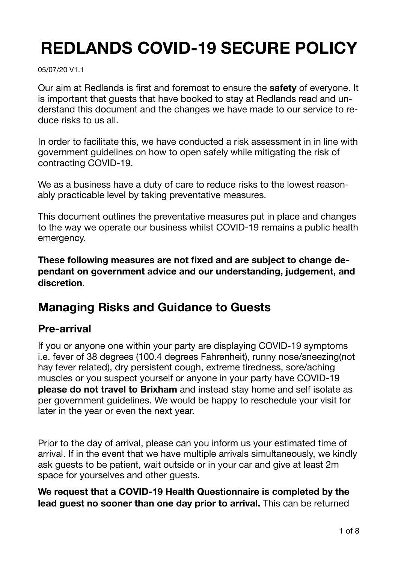# **REDLANDS COVID-19 SECURE POLICY**

05/07/20 V1.1

Our aim at Redlands is first and foremost to ensure the **safety** of everyone. It is important that guests that have booked to stay at Redlands read and understand this document and the changes we have made to our service to reduce risks to us all.

In order to facilitate this, we have conducted a risk assessment in in line with government guidelines on how to open safely while mitigating the risk of contracting COVID-19.

We as a business have a duty of care to reduce risks to the lowest reasonably practicable level by taking preventative measures.

This document outlines the preventative measures put in place and changes to the way we operate our business whilst COVID-19 remains a public health emergency.

**These following measures are not fixed and are subject to change dependant on government advice and our understanding, judgement, and discretion**.

## **Managing Risks and Guidance to Guests**

## **Pre-arrival**

If you or anyone one within your party are displaying COVID-19 symptoms i.e. fever of 38 degrees (100.4 degrees Fahrenheit), runny nose/sneezing(not hay fever related), dry persistent cough, extreme tiredness, sore/aching muscles or you suspect yourself or anyone in your party have COVID-19 **please do not travel to Brixham** and instead stay home and self isolate as per government guidelines. We would be happy to reschedule your visit for later in the year or even the next year.

Prior to the day of arrival, please can you inform us your estimated time of arrival. If in the event that we have multiple arrivals simultaneously, we kindly ask guests to be patient, wait outside or in your car and give at least 2m space for yourselves and other guests.

**We request that a COVID-19 Health Questionnaire is completed by the lead guest no sooner than one day prior to arrival.** This can be returned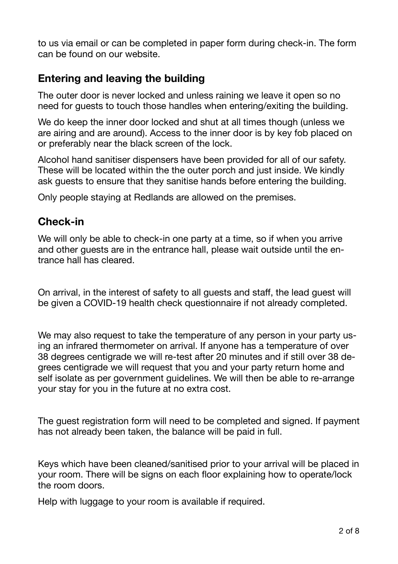to us via email or can be completed in paper form during check-in. The form can be found on our website.

## **Entering and leaving the building**

The outer door is never locked and unless raining we leave it open so no need for guests to touch those handles when entering/exiting the building.

We do keep the inner door locked and shut at all times though (unless we are airing and are around). Access to the inner door is by key fob placed on or preferably near the black screen of the lock.

Alcohol hand sanitiser dispensers have been provided for all of our safety. These will be located within the the outer porch and just inside. We kindly ask guests to ensure that they sanitise hands before entering the building.

Only people staying at Redlands are allowed on the premises.

## **Check-in**

We will only be able to check-in one party at a time, so if when you arrive and other guests are in the entrance hall, please wait outside until the entrance hall has cleared.

On arrival, in the interest of safety to all guests and staff, the lead guest will be given a COVID-19 health check questionnaire if not already completed.

We may also request to take the temperature of any person in your party using an infrared thermometer on arrival. If anyone has a temperature of over 38 degrees centigrade we will re-test after 20 minutes and if still over 38 degrees centigrade we will request that you and your party return home and self isolate as per government guidelines. We will then be able to re-arrange your stay for you in the future at no extra cost.

The guest registration form will need to be completed and signed. If payment has not already been taken, the balance will be paid in full.

Keys which have been cleaned/sanitised prior to your arrival will be placed in your room. There will be signs on each floor explaining how to operate/lock the room doors.

Help with luggage to your room is available if required.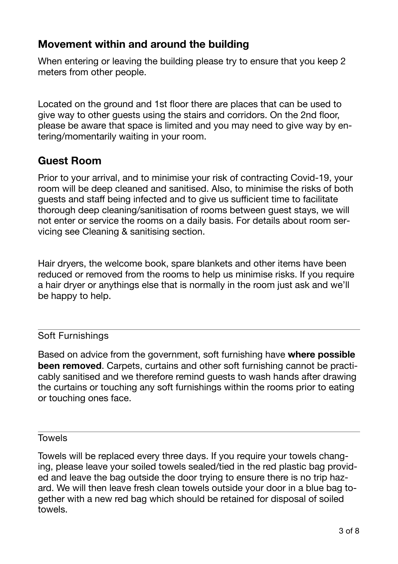## **Movement within and around the building**

When entering or leaving the building please try to ensure that you keep 2 meters from other people.

Located on the ground and 1st floor there are places that can be used to give way to other guests using the stairs and corridors. On the 2nd floor, please be aware that space is limited and you may need to give way by entering/momentarily waiting in your room.

## **Guest Room**

Prior to your arrival, and to minimise your risk of contracting Covid-19, your room will be deep cleaned and sanitised. Also, to minimise the risks of both guests and staff being infected and to give us sufficient time to facilitate thorough deep cleaning/sanitisation of rooms between guest stays, we will not enter or service the rooms on a daily basis. For details about room servicing see Cleaning & sanitising section.

Hair dryers, the welcome book, spare blankets and other items have been reduced or removed from the rooms to help us minimise risks. If you require a hair dryer or anythings else that is normally in the room just ask and we'll be happy to help.

### Soft Furnishings

Based on advice from the government, soft furnishing have **where possible been removed**. Carpets, curtains and other soft furnishing cannot be practicably sanitised and we therefore remind guests to wash hands after drawing the curtains or touching any soft furnishings within the rooms prior to eating or touching ones face.

#### Towels

Towels will be replaced every three days. If you require your towels changing, please leave your soiled towels sealed/tied in the red plastic bag provided and leave the bag outside the door trying to ensure there is no trip hazard. We will then leave fresh clean towels outside your door in a blue bag together with a new red bag which should be retained for disposal of soiled towels.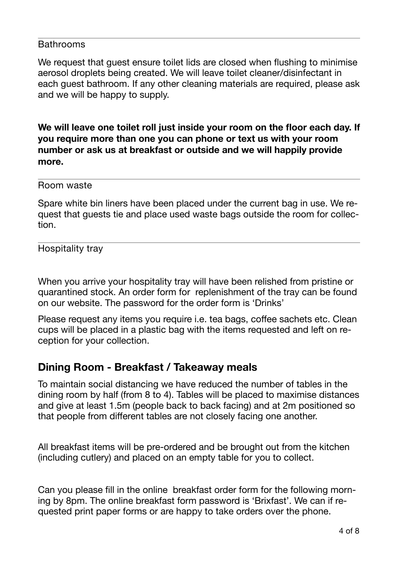#### **Bathrooms**

We request that guest ensure toilet lids are closed when flushing to minimise aerosol droplets being created. We will leave toilet cleaner/disinfectant in each guest bathroom. If any other cleaning materials are required, please ask and we will be happy to supply.

**We will leave one toilet roll just inside your room on the floor each day. If you require more than one you can phone or text us with your room number or ask us at breakfast or outside and we will happily provide more.** 

Room waste

Spare white bin liners have been placed under the current bag in use. We request that guests tie and place used waste bags outside the room for collection.

Hospitality tray

When you arrive your hospitality tray will have been relished from pristine or quarantined stock. An order form for replenishment of the tray can be found on our website. The password for the order form is 'Drinks'

Please request any items you require i.e. tea bags, coffee sachets etc. Clean cups will be placed in a plastic bag with the items requested and left on reception for your collection.

## **Dining Room - Breakfast / Takeaway meals**

To maintain social distancing we have reduced the number of tables in the dining room by half (from 8 to 4). Tables will be placed to maximise distances and give at least 1.5m (people back to back facing) and at 2m positioned so that people from different tables are not closely facing one another.

All breakfast items will be pre-ordered and be brought out from the kitchen (including cutlery) and placed on an empty table for you to collect.

Can you please fill in the online breakfast order form for the following morning by 8pm. The online breakfast form password is 'Brixfast'. We can if requested print paper forms or are happy to take orders over the phone.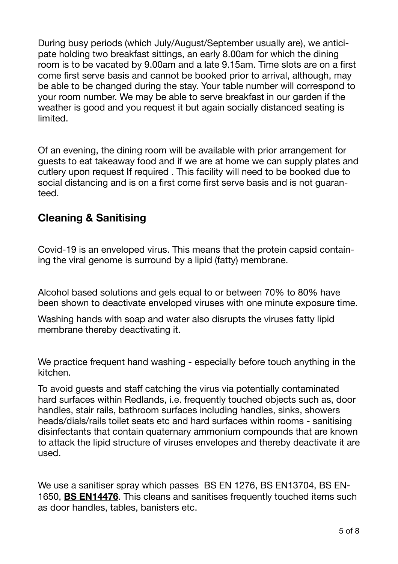During busy periods (which July/August/September usually are), we anticipate holding two breakfast sittings, an early 8.00am for which the dining room is to be vacated by 9.00am and a late 9.15am. Time slots are on a first come first serve basis and cannot be booked prior to arrival, although, may be able to be changed during the stay. Your table number will correspond to your room number. We may be able to serve breakfast in our garden if the weather is good and you request it but again socially distanced seating is limited.

Of an evening, the dining room will be available with prior arrangement for guests to eat takeaway food and if we are at home we can supply plates and cutlery upon request If required . This facility will need to be booked due to social distancing and is on a first come first serve basis and is not guaranteed.

## **Cleaning & Sanitising**

Covid-19 is an enveloped virus. This means that the protein capsid containing the viral genome is surround by a lipid (fatty) membrane.

Alcohol based solutions and gels equal to or between 70% to 80% have been shown to deactivate enveloped viruses with one minute exposure time.

Washing hands with soap and water also disrupts the viruses fatty lipid membrane thereby deactivating it.

We practice frequent hand washing - especially before touch anything in the kitchen.

To avoid guests and staff catching the virus via potentially contaminated hard surfaces within Redlands, i.e. frequently touched objects such as, door handles, stair rails, bathroom surfaces including handles, sinks, showers heads/dials/rails toilet seats etc and hard surfaces within rooms - sanitising disinfectants that contain quaternary ammonium compounds that are known to attack the lipid structure of viruses envelopes and thereby deactivate it are used.

We use a sanitiser spray which passes BS EN 1276, BS EN13704, BS EN-1650, **BS EN14476**. This cleans and sanitises frequently touched items such as door handles, tables, banisters etc.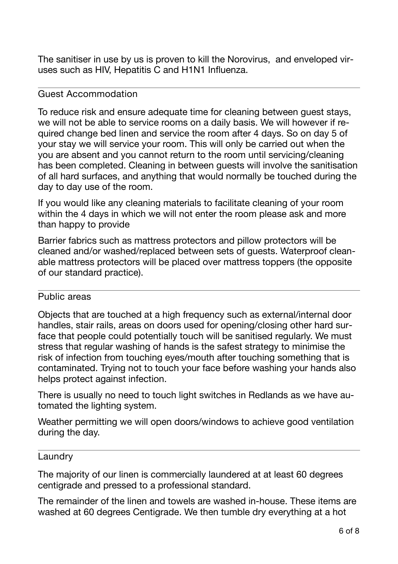The sanitiser in use by us is proven to kill the Norovirus, and enveloped viruses such as HIV, Hepatitis C and H1N1 Influenza.

#### Guest Accommodation

To reduce risk and ensure adequate time for cleaning between guest stays, we will not be able to service rooms on a daily basis. We will however if required change bed linen and service the room after 4 days. So on day 5 of your stay we will service your room. This will only be carried out when the you are absent and you cannot return to the room until servicing/cleaning has been completed. Cleaning in between guests will involve the sanitisation of all hard surfaces, and anything that would normally be touched during the day to day use of the room.

If you would like any cleaning materials to facilitate cleaning of your room within the 4 days in which we will not enter the room please ask and more than happy to provide

Barrier fabrics such as mattress protectors and pillow protectors will be cleaned and/or washed/replaced between sets of guests. Waterproof cleanable mattress protectors will be placed over mattress toppers (the opposite of our standard practice).

#### Public areas

Objects that are touched at a high frequency such as external/internal door handles, stair rails, areas on doors used for opening/closing other hard surface that people could potentially touch will be sanitised regularly. We must stress that regular washing of hands is the safest strategy to minimise the risk of infection from touching eyes/mouth after touching something that is contaminated. Trying not to touch your face before washing your hands also helps protect against infection.

There is usually no need to touch light switches in Redlands as we have automated the lighting system.

Weather permitting we will open doors/windows to achieve good ventilation during the day.

#### Laundry

The majority of our linen is commercially laundered at at least 60 degrees centigrade and pressed to a professional standard.

The remainder of the linen and towels are washed in-house. These items are washed at 60 degrees Centigrade. We then tumble dry everything at a hot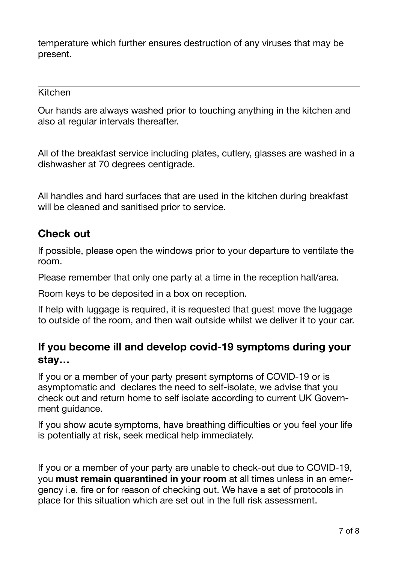temperature which further ensures destruction of any viruses that may be present.

Kitchen

Our hands are always washed prior to touching anything in the kitchen and also at regular intervals thereafter.

All of the breakfast service including plates, cutlery, glasses are washed in a dishwasher at 70 degrees centigrade.

All handles and hard surfaces that are used in the kitchen during breakfast will be cleaned and sanitised prior to service.

## **Check out**

If possible, please open the windows prior to your departure to ventilate the room.

Please remember that only one party at a time in the reception hall/area.

Room keys to be deposited in a box on reception.

If help with luggage is required, it is requested that guest move the luggage to outside of the room, and then wait outside whilst we deliver it to your car.

## **If you become ill and develop covid-19 symptoms during your stay…**

If you or a member of your party present symptoms of COVID-19 or is asymptomatic and declares the need to self-isolate, we advise that you check out and return home to self isolate according to current UK Government guidance.

If you show acute symptoms, have breathing difficulties or you feel your life is potentially at risk, seek medical help immediately.

If you or a member of your party are unable to check-out due to COVID-19, you **must remain quarantined in your room** at all times unless in an emergency i.e. fire or for reason of checking out. We have a set of protocols in place for this situation which are set out in the full risk assessment.